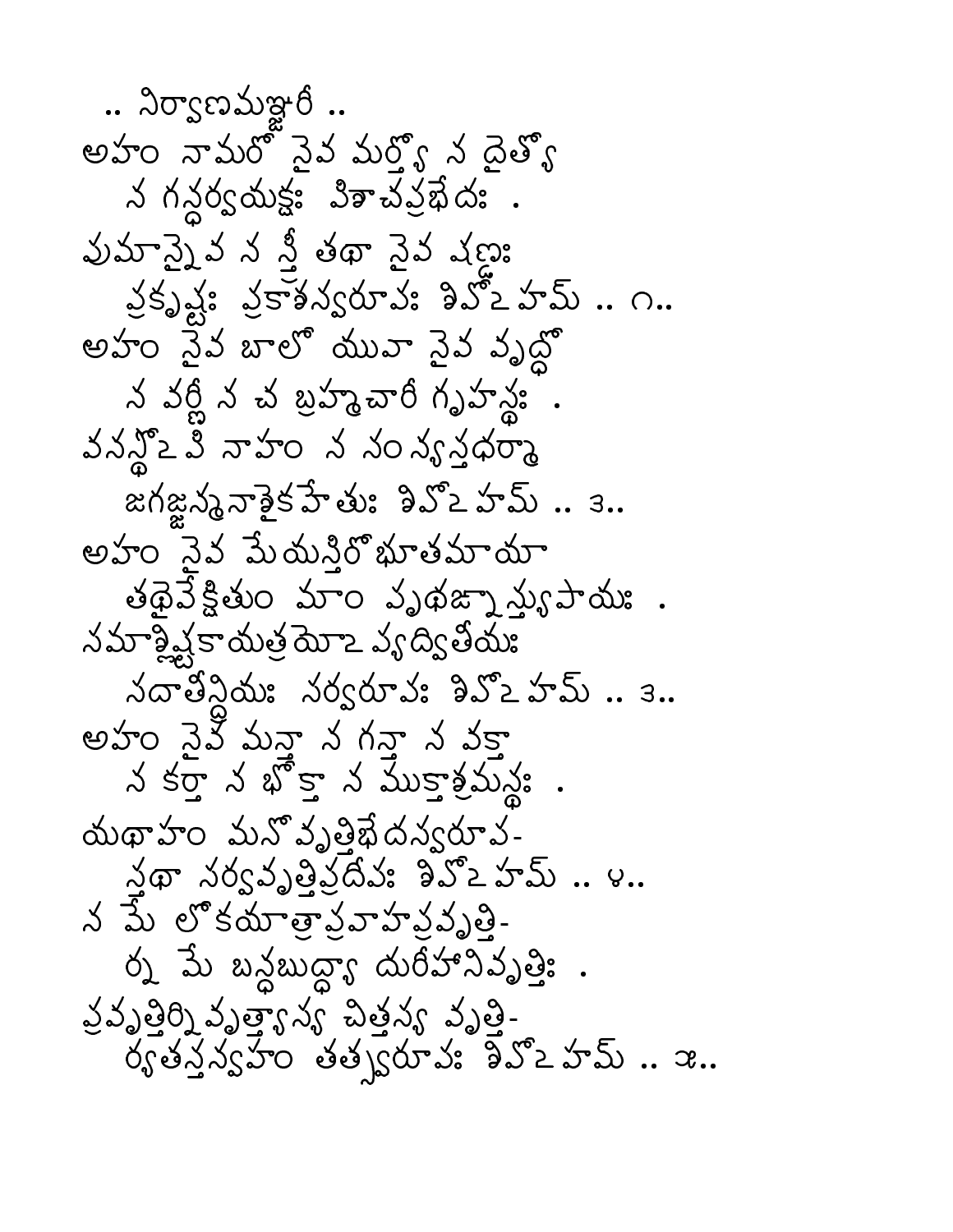.. నిర్వాణమఞరీ .. అహం నామరో నైవ మర్యో న దైత్య న గన్దర్వయక్షః విశాచవ్రభేదః . వుమాన్నైవ న నీ తథా నైవ షణ్ణు వ్రృష్టి వ్రాశన్వరూవి: శివోఒహమ్ .. ౧.. అహం నైన బాలో యువా నైన వృద్ధో న వర్ణీ న చ బ్రహ్మచారీ గృహన్ణ్ . వనన్లో 2 వి నాహం న నంన్య నదర్శా జగజ్జన్మనాశైక హేతు: నివ్వ హమ్.. 3.. అహం నెవ పేుదునిరోభూతమాయా తథైవే క్లితుం మాం వృథజ్నా స్యుపాయః . నమాశ్లిష్టకాయత్ర మోఽ వ్యద్వితీయః నదాతిన్దేమి నర్వరూవ: శివ్వ హమ్ .. 3.. అహం పైవి మనా న గనా న వకా న కర్తా న భ్రా న ముకాశ్రమన్య. . యథాహం మనోవృత్తిభేదన్వరూవ- $\lambda$ థా నర్వవృత్తినదివి శివ్2 హమ్.. ౪.. న పే లోకయాత్రవాహన్నృత్తి-ర్న మే బన్దబుద్ధా దురీహానివృత్తి: . వ్రవృత్తిర్మి వృత్త్యాన్య సౌకర్యం వృత్తి- $\check{\delta}$   $\check{\delta}$   $\check{\delta}$   $\check{\delta}$   $\check{\delta}$   $\check{\delta}$   $\check{\delta}$   $\check{\delta}$   $\check{\delta}$   $\check{\delta}$   $\check{\delta}$   $\check{\delta}$   $\check{\delta}$   $\check{\delta}$   $\check{\delta}$   $\check{\delta}$   $\check{\delta}$   $\check{\delta}$   $\check{\delta}$   $\check{\delta}$   $\check{\delta}$   $\check{\delta}$   $\check{\delta}$   $\check{\delta}$   $\check{\delta}$   $\check{\delta}$   $\check{\delta}$   $\check{\delta$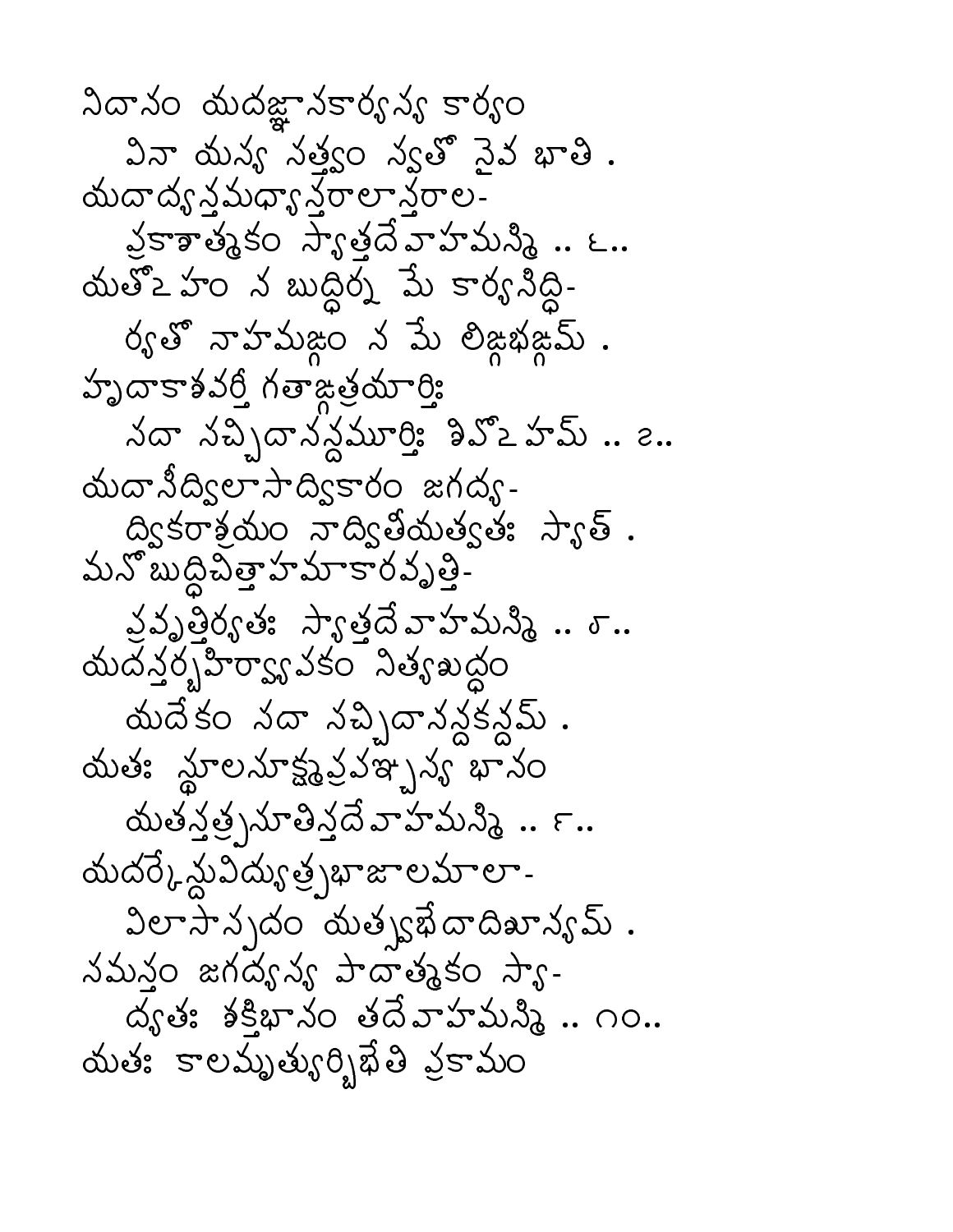నిదానం నుదజ్ఞానకార్యన్య కార్యం వినా యన్య నత్యం న్యతో నైవ భాతి . యదాద్యన్తమధ్యా <sup>న్ర్</sup>రాలా నేరాల-వ్రకాత్మకం స్యాత్తదేవాహమన్మీ .. ౬.. యతో2 హం న బుద్ధిర్న మే కార్యనీద్ధి-ర్యతో నాహమజ్ధం న మే లిజ్జభజ్ఞమ్ . హృదాకాశవర్తి గతాజత్రయార్తి నదా నచ్చిదానన్దమూర్తి: శివ్ౖ హమ్ .. ౭.. యదానీద్విలా సాద్వికారం జగద్య-ద్వికరాశ్రమం నాద్వితీయత్వతః స్యాత్ . మన్ బుద్దిపిత్తా హమాకారవృత్తి-వ్రవృత్తిర్వతః స్యాత్తదే వాహమస్మీ .. ఠ.. యదన్తర్చహిర్యా వకం నిత్యబద్ధం యదేకం నదా నచ్చిదానన్దకన్దమ్ . యతః న్జూలనూక్ష్మప్రవఞ్పవ్య భానం యతన్త్ర నూతిన్లదే వాహమన్మీ .. ౯.. యదర్కేస్థువిద్యుత్ర్నభాజాలమాలా-విలా సాన్నదం యత్వభేదాదిఖాన్యమ్ . నమనం జగద్యన్య పాదాత్మకం స్యా-ద్యత: శక్షిభానం తదేవాహమన్మి .. ౧౦.. యతః కాలమృత్యుర్భిఖేతి వ్రకామం